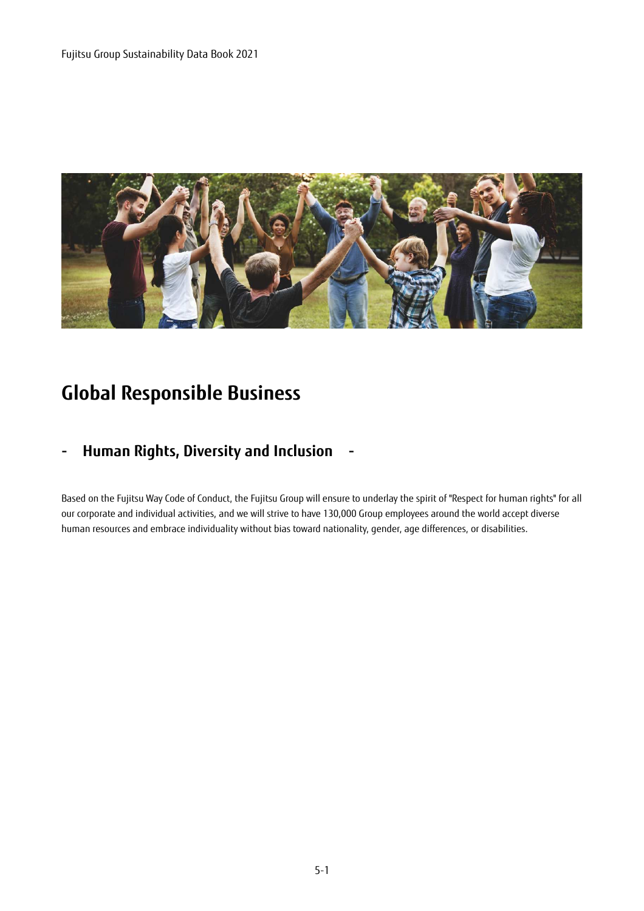

# **Global Responsible Business**

## **- Human Rights, Diversity and Inclusion -**

Based on the Fujitsu Way Code of Conduct, the Fujitsu Group will ensure to underlay the spirit of "Respect for human rights" for all our corporate and individual activities, and we will strive to have 130,000 Group employees around the world accept diverse human resources and embrace individuality without bias toward nationality, gender, age differences, or disabilities.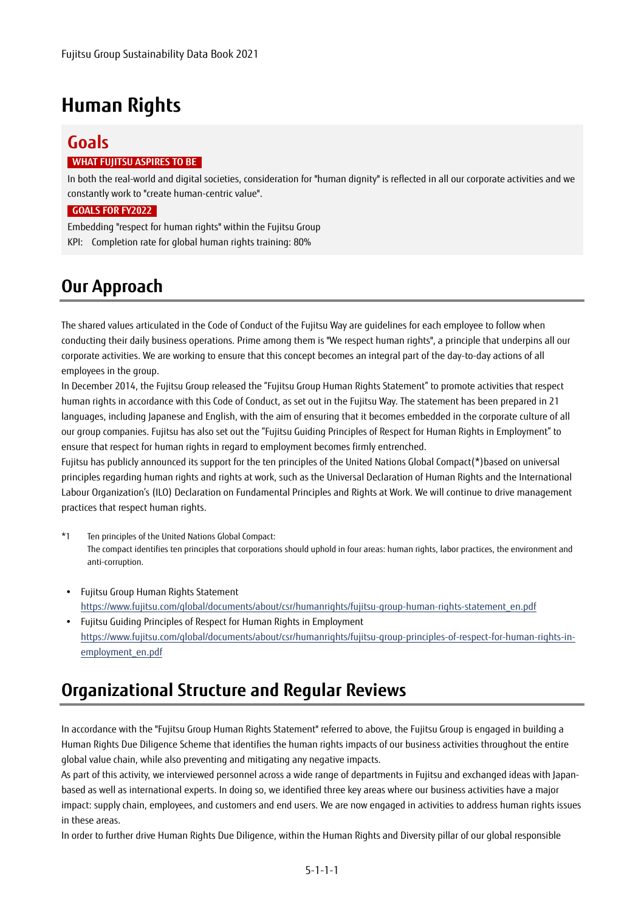# **Human Rights**

## **Goals**

#### **WHAT FUJITSU ASPIRES TO BE**

In both the real-world and digital societies, consideration for "human dignity" is reflected in all our corporate activities and we constantly work to "create human-centric value".

#### **GOALS FOR FY2022**

Embedding "respect for human rights" within the Fujitsu Group KPI: Completion rate for global human rights training: 80%

## **Our Approach**

The shared values articulated in the Code of Conduct of the Fujitsu Way are guidelines for each employee to follow when conducting their daily business operations. Prime among them is "We respect human rights", a principle that underpins all our corporate activities. We are working to ensure that this concept becomes an integral part of the day-to-day actions of all employees in the group.

In December 2014, the Fujitsu Group released the "Fujitsu Group Human Rights Statement" to promote activities that respect human rights in accordance with this Code of Conduct, as set out in the Fujitsu Way. The statement has been prepared in 21 languages, including Japanese and English, with the aim of ensuring that it becomes embedded in the corporate culture of all our group companies. Fujitsu has also set out the "Fujitsu Guiding Principles of Respect for Human Rights in Employment" to ensure that respect for human rights in regard to employment becomes firmly entrenched.

Fujitsu has publicly announced its support for the ten principles of the United Nations Global Compact(\*)based on universal principles regarding human rights and rights at work, such as the Universal Declaration of Human Rights and the International Labour Organization's (ILO) Declaration on Fundamental Principles and Rights at Work. We will continue to drive management practices that respect human rights.

- \*1 Ten principles of the United Nations Global Compact: The compact identifies ten principles that corporations should uphold in four areas: human rights, labor practices, the environment and anti-corruption.
- Fujitsu Group Human Rights Statement https://www.fujitsu.com/global/documents/about/csr/humanrights/fujitsu-group-human-rights-statement\_en.pdf
- Fujitsu Guiding Principles of Respect for Human Rights in Employment https://www.fujitsu.com/global/documents/about/csr/humanrights/fujitsu-group-principles-of-respect-for-human-rights-inemployment\_en.pdf

## **Organizational Structure and Regular Reviews**

In accordance with the "Fujitsu Group Human Rights Statement" referred to above, the Fujitsu Group is engaged in building a Human Rights Due Diligence Scheme that identifies the human rights impacts of our business activities throughout the entire global value chain, while also preventing and mitigating any negative impacts.

As part of this activity, we interviewed personnel across a wide range of departments in Fujitsu and exchanged ideas with Japanbased as well as international experts. In doing so, we identified three key areas where our business activities have a major impact: supply chain, employees, and customers and end users. We are now engaged in activities to address human rights issues in these areas.

In order to further drive Human Rights Due Diligence, within the Human Rights and Diversity pillar of our global responsible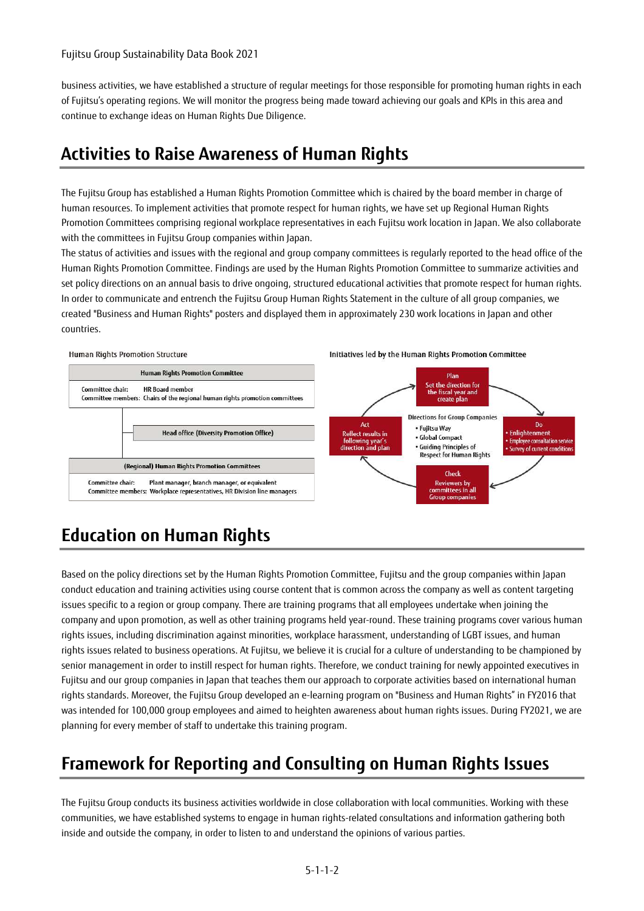business activities, we have established a structure of regular meetings for those responsible for promoting human rights in each of Fujitsu's operating regions. We will monitor the progress being made toward achieving our goals and KPIs in this area and continue to exchange ideas on Human Rights Due Diligence.

## **Activities to Raise Awareness of Human Rights**

The Fujitsu Group has established a Human Rights Promotion Committee which is chaired by the board member in charge of human resources. To implement activities that promote respect for human rights, we have set up Regional Human Rights Promotion Committees comprising regional workplace representatives in each Fujitsu work location in Japan. We also collaborate with the committees in Fujitsu Group companies within Japan.

The status of activities and issues with the regional and group company committees is regularly reported to the head office of the Human Rights Promotion Committee. Findings are used by the Human Rights Promotion Committee to summarize activities and set policy directions on an annual basis to drive ongoing, structured educational activities that promote respect for human rights. In order to communicate and entrench the Fujitsu Group Human Rights Statement in the culture of all group companies, we created "Business and Human Rights" posters and displayed them in approximately 230 work locations in Japan and other countries.



# **Education on Human Rights**

Based on the policy directions set by the Human Rights Promotion Committee, Fujitsu and the group companies within Japan conduct education and training activities using course content that is common across the company as well as content targeting issues specific to a region or group company. There are training programs that all employees undertake when joining the company and upon promotion, as well as other training programs held year-round. These training programs cover various human rights issues, including discrimination against minorities, workplace harassment, understanding of LGBT issues, and human rights issues related to business operations. At Fujitsu, we believe it is crucial for a culture of understanding to be championed by senior management in order to instill respect for human rights. Therefore, we conduct training for newly appointed executives in Fujitsu and our group companies in Japan that teaches them our approach to corporate activities based on international human rights standards. Moreover, the Fujitsu Group developed an e-learning program on "Business and Human Rights" in FY2016 that was intended for 100,000 group employees and aimed to heighten awareness about human rights issues. During FY2021, we are planning for every member of staff to undertake this training program.

## **Framework for Reporting and Consulting on Human Rights Issues**

The Fujitsu Group conducts its business activities worldwide in close collaboration with local communities. Working with these communities, we have established systems to engage in human rights-related consultations and information gathering both inside and outside the company, in order to listen to and understand the opinions of various parties.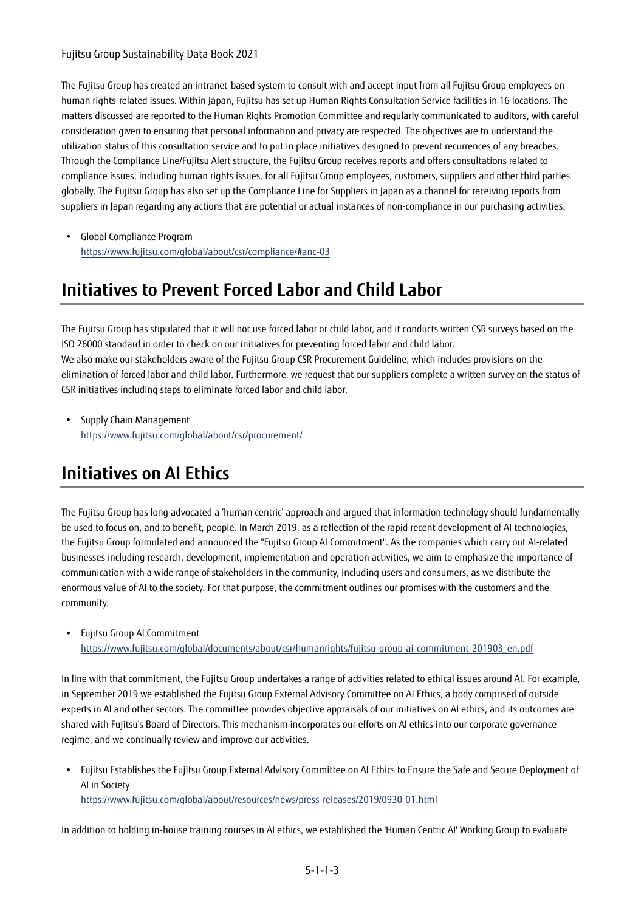The Fujitsu Group has created an intranet-based system to consult with and accept input from all Fujitsu Group employees on human rights-related issues. Within Japan, Fujitsu has set up Human Rights Consultation Service facilities in 16 locations. The matters discussed are reported to the Human Rights Promotion Committee and regularly communicated to auditors, with careful consideration given to ensuring that personal information and privacy are respected. The objectives are to understand the utilization status of this consultation service and to put in place initiatives designed to prevent recurrences of any breaches. Through the Compliance Line/Fujitsu Alert structure, the Fujitsu Group receives reports and offers consultations related to compliance issues, including human rights issues, for all Fujitsu Group employees, customers, suppliers and other third parties globally. The Fujitsu Group has also set up the Compliance Line for Suppliers in Japan as a channel for receiving reports from suppliers in Japan regarding any actions that are potential or actual instances of non-compliance in our purchasing activities.

 Global Compliance Program https://www.fujitsu.com/global/about/csr/compliance/#anc-03

## **Initiatives to Prevent Forced Labor and Child Labor**

The Fujitsu Group has stipulated that it will not use forced labor or child labor, and it conducts written CSR surveys based on the ISO 26000 standard in order to check on our initiatives for preventing forced labor and child labor. We also make our stakeholders aware of the Fujitsu Group CSR Procurement Guideline, which includes provisions on the elimination of forced labor and child labor. Furthermore, we request that our suppliers complete a written survey on the status of CSR initiatives including steps to eliminate forced labor and child labor.

• Supply Chain Management https://www.fujitsu.com/global/about/csr/procurement/

## **Initiatives on AI Ethics**

The Fujitsu Group has long advocated a 'human centric' approach and argued that information technology should fundamentally be used to focus on, and to benefit, people. In March 2019, as a reflection of the rapid recent development of AI technologies, the Fujitsu Group formulated and announced the "Fujitsu Group AI Commitment". As the companies which carry out AI-related businesses including research, development, implementation and operation activities, we aim to emphasize the importance of communication with a wide range of stakeholders in the community, including users and consumers, as we distribute the enormous value of AI to the society. For that purpose, the commitment outlines our promises with the customers and the community.

Fujitsu Group AI Commitment

https://www.fujitsu.com/global/documents/about/csr/humanrights/fujitsu-group-ai-commitment-201903\_en.pdf

In line with that commitment, the Fujitsu Group undertakes a range of activities related to ethical issues around AI. For example, in September 2019 we established the Fujitsu Group External Advisory Committee on AI Ethics, a body comprised of outside experts in AI and other sectors. The committee provides objective appraisals of our initiatives on AI ethics, and its outcomes are shared with Fujitsu's Board of Directors. This mechanism incorporates our efforts on AI ethics into our corporate governance regime, and we continually review and improve our activities.

 Fujitsu Establishes the Fujitsu Group External Advisory Committee on AI Ethics to Ensure the Safe and Secure Deployment of AI in Society https://www.fujitsu.com/global/about/resources/news/press-releases/2019/0930-01.html

In addition to holding in-house training courses in AI ethics, we established the 'Human Centric AI' Working Group to evaluate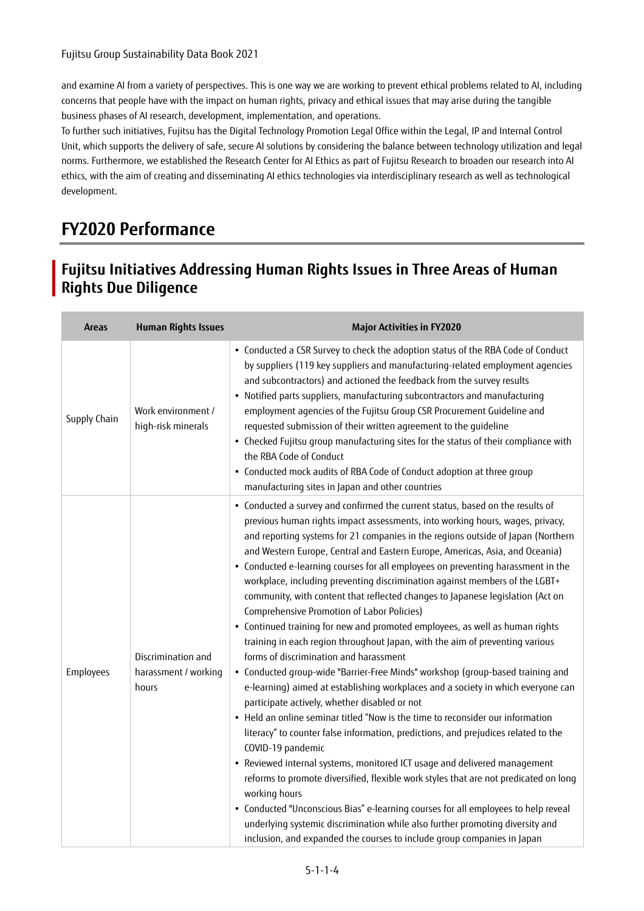and examine AI from a variety of perspectives. This is one way we are working to prevent ethical problems related to AI, including concerns that people have with the impact on human rights, privacy and ethical issues that may arise during the tangible business phases of AI research, development, implementation, and operations.

To further such initiatives, Fujitsu has the Digital Technology Promotion Legal Office within the Legal, IP and Internal Control Unit, which supports the delivery of safe, secure AI solutions by considering the balance between technology utilization and legal norms. Furthermore, we established the Research Center for AI Ethics as part of Fujitsu Research to broaden our research into AI ethics, with the aim of creating and disseminating AI ethics technologies via interdisciplinary research as well as technological development.

# **FY2020 Performance**

### **Fujitsu Initiatives Addressing Human Rights Issues in Three Areas of Human Rights Due Diligence**

| <b>Areas</b> | <b>Human Rights Issues</b>                          | <b>Major Activities in FY2020</b>                                                                                                                                                                                                                                                                                                                                                                                                                                                                                                                                                                                                                                                                                                                                                                                                                                                                                                                                                                                                                                                                                                                                                                                                                                                                                                                                                                                                                                                                                                                                                                                                                                                                            |
|--------------|-----------------------------------------------------|--------------------------------------------------------------------------------------------------------------------------------------------------------------------------------------------------------------------------------------------------------------------------------------------------------------------------------------------------------------------------------------------------------------------------------------------------------------------------------------------------------------------------------------------------------------------------------------------------------------------------------------------------------------------------------------------------------------------------------------------------------------------------------------------------------------------------------------------------------------------------------------------------------------------------------------------------------------------------------------------------------------------------------------------------------------------------------------------------------------------------------------------------------------------------------------------------------------------------------------------------------------------------------------------------------------------------------------------------------------------------------------------------------------------------------------------------------------------------------------------------------------------------------------------------------------------------------------------------------------------------------------------------------------------------------------------------------------|
| Supply Chain | Work environment /<br>high-risk minerals            | • Conducted a CSR Survey to check the adoption status of the RBA Code of Conduct<br>by suppliers (119 key suppliers and manufacturing-related employment agencies<br>and subcontractors) and actioned the feedback from the survey results<br>• Notified parts suppliers, manufacturing subcontractors and manufacturing<br>employment agencies of the Fujitsu Group CSR Procurement Guideline and<br>requested submission of their written agreement to the guideline<br>• Checked Fujitsu group manufacturing sites for the status of their compliance with<br>the RBA Code of Conduct<br>• Conducted mock audits of RBA Code of Conduct adoption at three group<br>manufacturing sites in Japan and other countries                                                                                                                                                                                                                                                                                                                                                                                                                                                                                                                                                                                                                                                                                                                                                                                                                                                                                                                                                                                       |
| Employees    | Discrimination and<br>harassment / working<br>hours | • Conducted a survey and confirmed the current status, based on the results of<br>previous human rights impact assessments, into working hours, wages, privacy,<br>and reporting systems for 21 companies in the regions outside of Japan (Northern<br>and Western Europe, Central and Eastern Europe, Americas, Asia, and Oceania)<br>• Conducted e-learning courses for all employees on preventing harassment in the<br>workplace, including preventing discrimination against members of the LGBT+<br>community, with content that reflected changes to Japanese legislation (Act on<br>Comprehensive Promotion of Labor Policies)<br>• Continued training for new and promoted employees, as well as human rights<br>training in each region throughout Japan, with the aim of preventing various<br>forms of discrimination and harassment<br>• Conducted group-wide "Barrier-Free Minds" workshop (group-based training and<br>e-learning) aimed at establishing workplaces and a society in which everyone can<br>participate actively, whether disabled or not<br>• Held an online seminar titled "Now is the time to reconsider our information<br>literacy" to counter false information, predictions, and prejudices related to the<br>COVID-19 pandemic<br>• Reviewed internal systems, monitored ICT usage and delivered management<br>reforms to promote diversified, flexible work styles that are not predicated on long<br>working hours<br>• Conducted "Unconscious Bias" e-learning courses for all employees to help reveal<br>underlying systemic discrimination while also further promoting diversity and<br>inclusion, and expanded the courses to include group companies in Japan |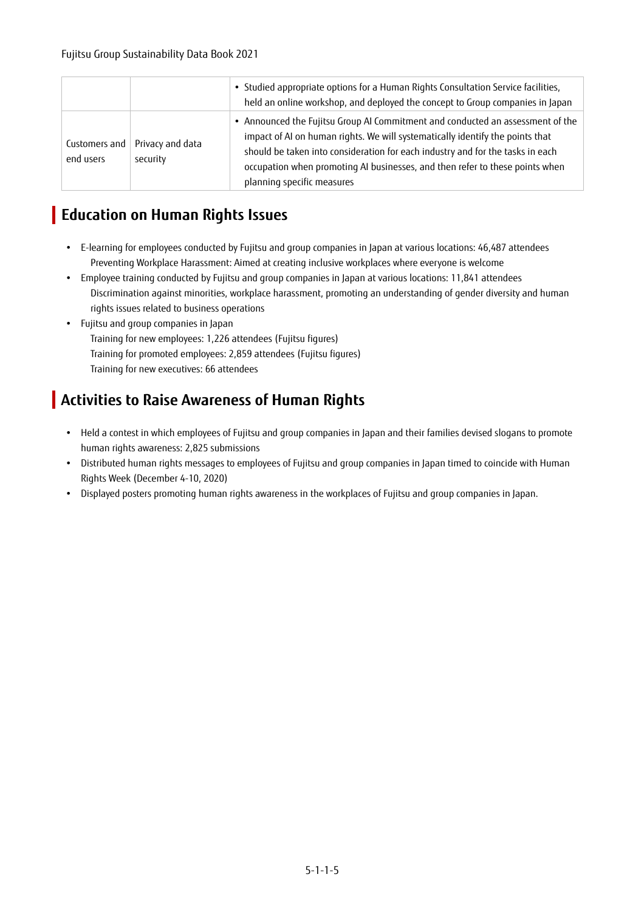|                            |                              | • Studied appropriate options for a Human Rights Consultation Service facilities,<br>held an online workshop, and deployed the concept to Group companies in Japan                                                                                                                                                                                              |
|----------------------------|------------------------------|-----------------------------------------------------------------------------------------------------------------------------------------------------------------------------------------------------------------------------------------------------------------------------------------------------------------------------------------------------------------|
| Customers and<br>end users | Privacy and data<br>security | • Announced the Fujitsu Group AI Commitment and conducted an assessment of the<br>impact of AI on human rights. We will systematically identify the points that<br>should be taken into consideration for each industry and for the tasks in each<br>occupation when promoting AI businesses, and then refer to these points when<br>planning specific measures |

### **Education on Human Rights Issues**

- E-learning for employees conducted by Fujitsu and group companies in Japan at various locations: 46,487 attendees Preventing Workplace Harassment: Aimed at creating inclusive workplaces where everyone is welcome
- Employee training conducted by Fujitsu and group companies in Japan at various locations: 11,841 attendees Discrimination against minorities, workplace harassment, promoting an understanding of gender diversity and human rights issues related to business operations
- Fujitsu and group companies in Japan Training for new employees: 1,226 attendees (Fujitsu figures) Training for promoted employees: 2,859 attendees (Fujitsu figures) Training for new executives: 66 attendees

## **Activities to Raise Awareness of Human Rights**

- Held a contest in which employees of Fujitsu and group companies in Japan and their families devised slogans to promote human rights awareness: 2,825 submissions
- Distributed human rights messages to employees of Fujitsu and group companies in Japan timed to coincide with Human Rights Week (December 4-10, 2020)
- Displayed posters promoting human rights awareness in the workplaces of Fujitsu and group companies in Japan.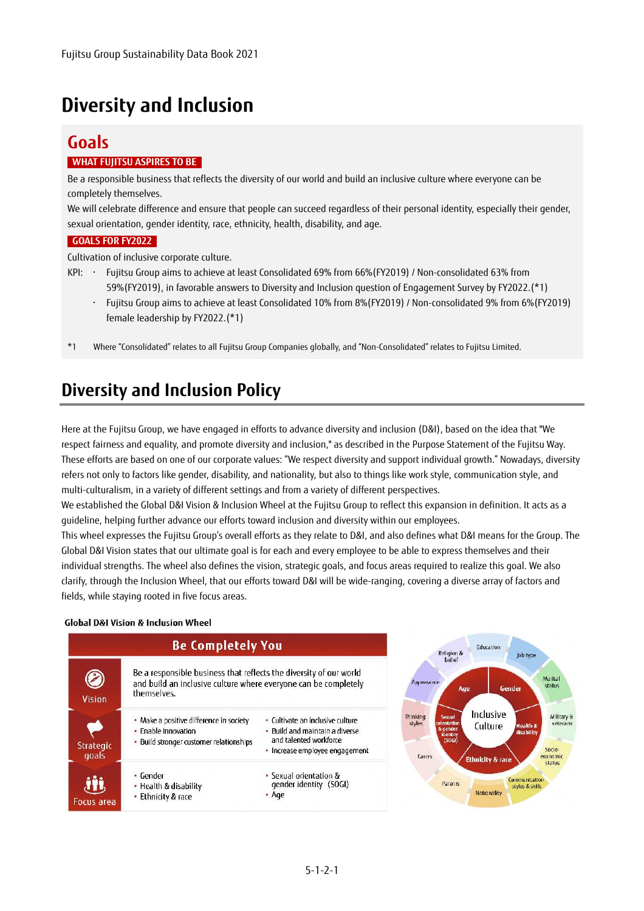# **Diversity and Inclusion**

#### **Goals WHAT FUJITSU ASPIRES TO BE**

Be a responsible business that reflects the diversity of our world and build an inclusive culture where everyone can be completely themselves.

We will celebrate difference and ensure that people can succeed regardless of their personal identity, especially their gender, sexual orientation, gender identity, race, ethnicity, health, disability, and age.

#### **GOALS FOR FY2022**

Cultivation of inclusive corporate culture.

- KPI: ・ Fujitsu Group aims to achieve at least Consolidated 69% from 66%(FY2019) / Non-consolidated 63% from 59%(FY2019), in favorable answers to Diversity and Inclusion question of Engagement Survey by FY2022.(\*1)
	- ・ Fujitsu Group aims to achieve at least Consolidated 10% from 8%(FY2019) / Non-consolidated 9% from 6%(FY2019) female leadership by FY2022.(\*1)
- \*1 Where "Consolidated" relates to all Fujitsu Group Companies globally, and "Non-Consolidated" relates to Fujitsu Limited.

## **Diversity and Inclusion Policy**

Here at the Fujitsu Group, we have engaged in efforts to advance diversity and inclusion (D&I), based on the idea that "We respect fairness and equality, and promote diversity and inclusion," as described in the Purpose Statement of the Fujitsu Way. These efforts are based on one of our corporate values: "We respect diversity and support individual growth." Nowadays, diversity refers not only to factors like gender, disability, and nationality, but also to things like work style, communication style, and multi-culturalism, in a variety of different settings and from a variety of different perspectives.

We established the Global D&I Vision & Inclusion Wheel at the Fujitsu Group to reflect this expansion in definition. It acts as a guideline, helping further advance our efforts toward inclusion and diversity within our employees.

This wheel expresses the Fujitsu Group's overall efforts as they relate to D&I, and also defines what D&I means for the Group. The Global D&I Vision states that our ultimate goal is for each and every employee to be able to express themselves and their individual strengths. The wheel also defines the vision, strategic goals, and focus areas required to realize this goal. We also clarify, through the Inclusion Wheel, that our efforts toward D&I will be wide-ranging, covering a diverse array of factors and fields, while staying rooted in five focus areas.

#### **Global D&I Vision & Inclusion Wheel**



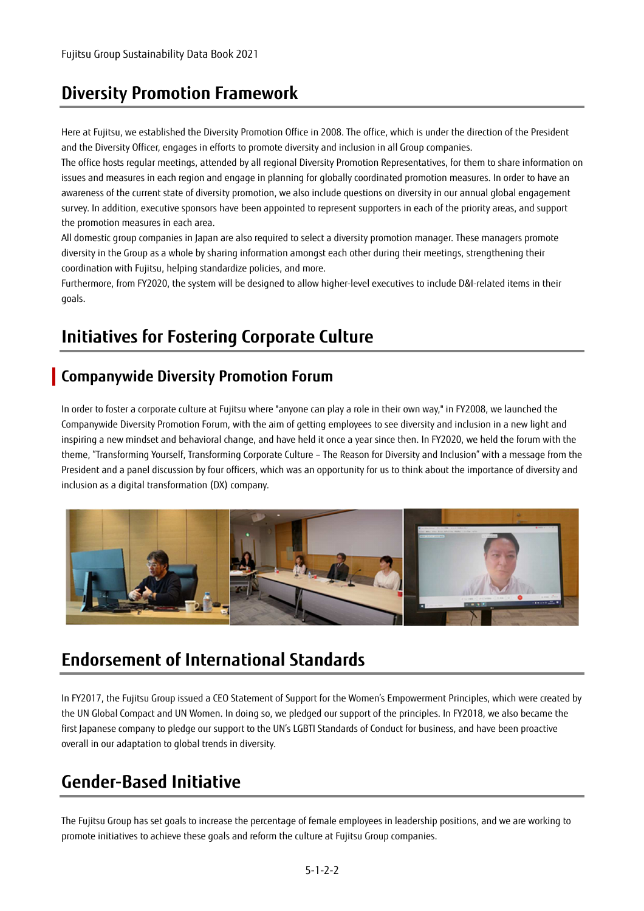## **Diversity Promotion Framework**

Here at Fujitsu, we established the Diversity Promotion Office in 2008. The office, which is under the direction of the President and the Diversity Officer, engages in efforts to promote diversity and inclusion in all Group companies.

The office hosts regular meetings, attended by all regional Diversity Promotion Representatives, for them to share information on issues and measures in each region and engage in planning for globally coordinated promotion measures. In order to have an awareness of the current state of diversity promotion, we also include questions on diversity in our annual global engagement survey. In addition, executive sponsors have been appointed to represent supporters in each of the priority areas, and support the promotion measures in each area.

All domestic group companies in Japan are also required to select a diversity promotion manager. These managers promote diversity in the Group as a whole by sharing information amongst each other during their meetings, strengthening their coordination with Fujitsu, helping standardize policies, and more.

Furthermore, from FY2020, the system will be designed to allow higher-level executives to include D&I-related items in their goals.

## **Initiatives for Fostering Corporate Culture**

#### **Companywide Diversity Promotion Forum**

In order to foster a corporate culture at Fujitsu where "anyone can play a role in their own way," in FY2008, we launched the Companywide Diversity Promotion Forum, with the aim of getting employees to see diversity and inclusion in a new light and inspiring a new mindset and behavioral change, and have held it once a year since then. In FY2020, we held the forum with the theme, "Transforming Yourself, Transforming Corporate Culture – The Reason for Diversity and Inclusion" with a message from the President and a panel discussion by four officers, which was an opportunity for us to think about the importance of diversity and inclusion as a digital transformation (DX) company.



## **Endorsement of International Standards**

In FY2017, the Fujitsu Group issued a CEO Statement of Support for the Women's Empowerment Principles, which were created by the UN Global Compact and UN Women. In doing so, we pledged our support of the principles. In FY2018, we also became the first Japanese company to pledge our support to the UN's LGBTI Standards of Conduct for business, and have been proactive overall in our adaptation to global trends in diversity.

## **Gender-Based Initiative**

The Fujitsu Group has set goals to increase the percentage of female employees in leadership positions, and we are working to promote initiatives to achieve these goals and reform the culture at Fujitsu Group companies.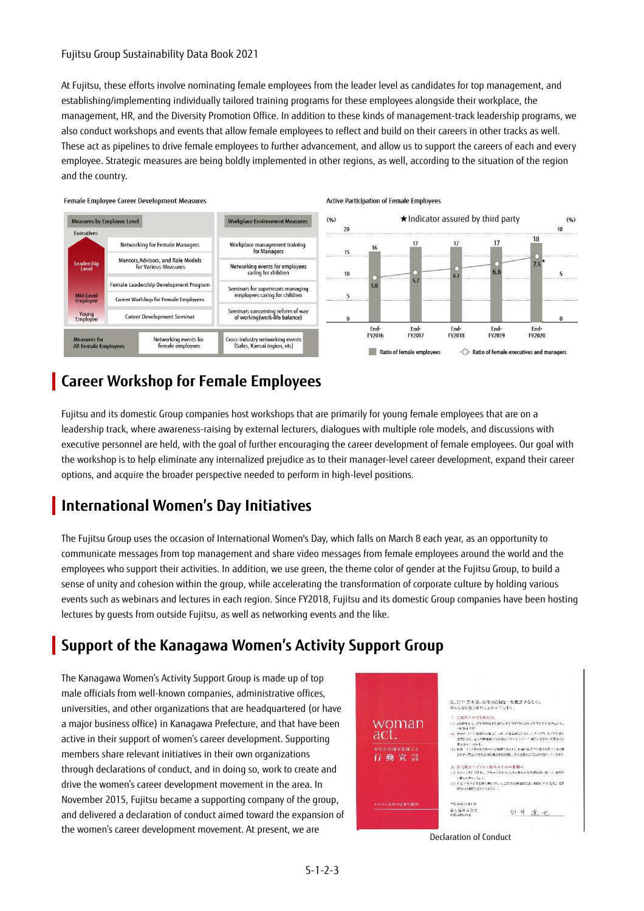#### Fujitsu Group Sustainability Data Book 2021

At Fujitsu, these efforts involve nominating female employees from the leader level as candidates for top management, and establishing/implementing individually tailored training programs for these employees alongside their workplace, the management, HR, and the Diversity Promotion Office. In addition to these kinds of management-track leadership programs, we also conduct workshops and events that allow female employees to reflect and build on their careers in other tracks as well. These act as pipelines to drive female employees to further advancement, and allow us to support the careers of each and every employee. Strategic measures are being boldly implemented in other regions, as well, according to the situation of the region and the country.



#### **Career Workshop for Female Employees**

Fujitsu and its domestic Group companies host workshops that are primarily for young female employees that are on a leadership track, where awareness-raising by external lecturers, dialogues with multiple role models, and discussions with executive personnel are held, with the goal of further encouraging the career development of female employees. Our goal with the workshop is to help eliminate any internalized prejudice as to their manager-level career development, expand their career options, and acquire the broader perspective needed to perform in high-level positions.

## **International Women's Day Initiatives**

The Fujitsu Group uses the occasion of International Women's Day, which falls on March 8 each year, as an opportunity to communicate messages from top management and share video messages from female employees around the world and the employees who support their activities. In addition, we use green, the theme color of gender at the Fujitsu Group, to build a sense of unity and cohesion within the group, while accelerating the transformation of corporate culture by holding various events such as webinars and lectures in each region. Since FY2018, Fujitsu and its domestic Group companies have been hosting lectures by guests from outside Fujitsu, as well as networking events and the like.

## **Support of the Kanagawa Women's Activity Support Group**

The Kanagawa Women's Activity Support Group is made up of top male officials from well-known companies, administrative offices, universities, and other organizations that are headquartered (or have a major business office) in Kanagawa Prefecture, and that have been active in their support of women's career development. Supporting members share relevant initiatives in their own organizations through declarations of conduct, and in doing so, work to create and drive the women's career development movement in the area. In November 2015, Fujitsu became a supporting company of the group, and delivered a declaration of conduct aimed toward the expansion of the women's career development movement. At present, we are



Declaration of Conduct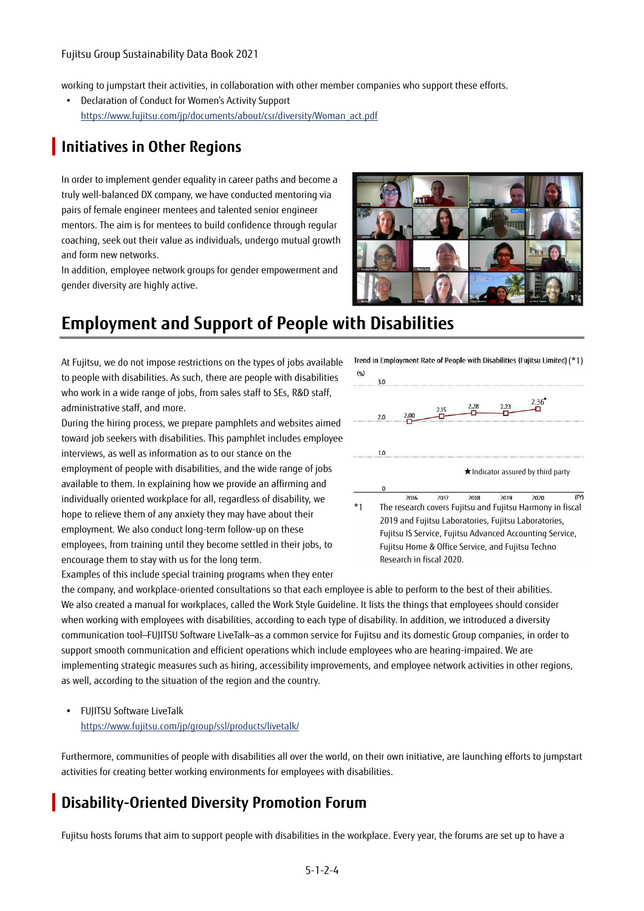working to jumpstart their activities, in collaboration with other member companies who support these efforts.

 Declaration of Conduct for Women's Activity Support https://www.fujitsu.com/jp/documents/about/csr/diversity/Woman\_act.pdf

## **Initiatives in Other Regions**

In order to implement gender equality in career paths and become a truly well-balanced DX company, we have conducted mentoring via pairs of female engineer mentees and talented senior engineer mentors. The aim is for mentees to build confidence through regular coaching, seek out their value as individuals, undergo mutual growth and form new networks.

In addition, employee network groups for gender empowerment and gender diversity are highly active.



## **Employment and Support of People with Disabilities**

At Fujitsu, we do not impose restrictions on the types of jobs available to people with disabilities. As such, there are people with disabilities who work in a wide range of jobs, from sales staff to SEs, R&D staff, administrative staff, and more.

During the hiring process, we prepare pamphlets and websites aimed toward job seekers with disabilities. This pamphlet includes employee interviews, as well as information as to our stance on the employment of people with disabilities, and the wide range of jobs available to them. In explaining how we provide an affirming and individually oriented workplace for all, regardless of disability, we hope to relieve them of any anxiety they may have about their employment. We also conduct long-term follow-up on these employees, from training until they become settled in their jobs, to encourage them to stay with us for the long term.

Examples of this include special training programs when they enter



the company, and workplace-oriented consultations so that each employee is able to perform to the best of their abilities. We also created a manual for workplaces, called the Work Style Guideline. It lists the things that employees should consider when working with employees with disabilities, according to each type of disability. In addition, we introduced a diversity communication tool—FUJITSU Software LiveTalk—as a common service for Fujitsu and its domestic Group companies, in order to support smooth communication and efficient operations which include employees who are hearing-impaired. We are implementing strategic measures such as hiring, accessibility improvements, and employee network activities in other regions, as well, according to the situation of the region and the country.

#### FUJITSU Software LiveTalk https://www.fujitsu.com/jp/group/ssl/products/livetalk/

Furthermore, communities of people with disabilities all over the world, on their own initiative, are launching efforts to jumpstart activities for creating better working environments for employees with disabilities.

#### **Disability-Oriented Diversity Promotion Forum**

Fujitsu hosts forums that aim to support people with disabilities in the workplace. Every year, the forums are set up to have a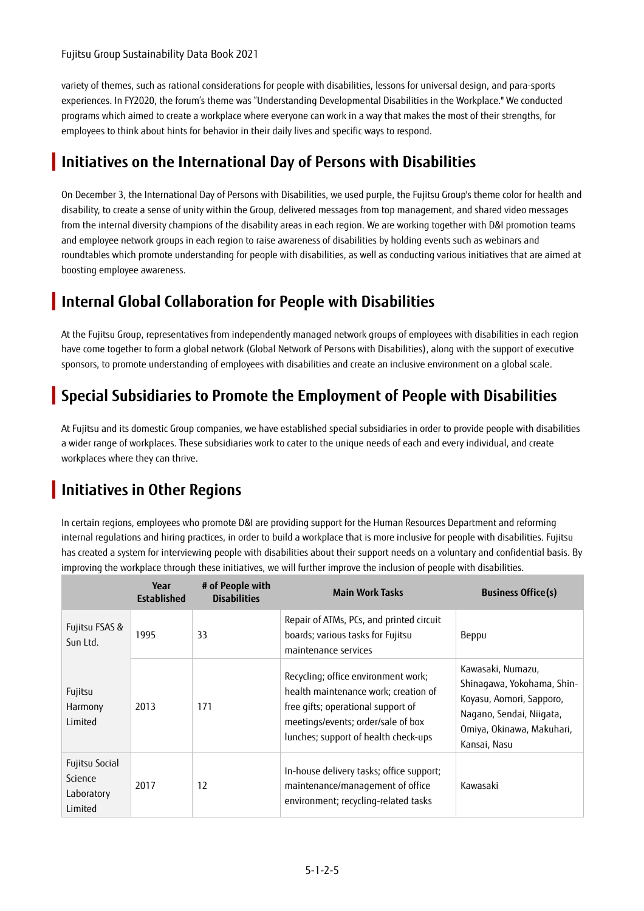variety of themes, such as rational considerations for people with disabilities, lessons for universal design, and para-sports experiences. In FY2020, the forum's theme was "Understanding Developmental Disabilities in the Workplace." We conducted programs which aimed to create a workplace where everyone can work in a way that makes the most of their strengths, for employees to think about hints for behavior in their daily lives and specific ways to respond.

## **Initiatives on the International Day of Persons with Disabilities**

On December 3, the International Day of Persons with Disabilities, we used purple, the Fujitsu Group's theme color for health and disability, to create a sense of unity within the Group, delivered messages from top management, and shared video messages from the internal diversity champions of the disability areas in each region. We are working together with D&I promotion teams and employee network groups in each region to raise awareness of disabilities by holding events such as webinars and roundtables which promote understanding for people with disabilities, as well as conducting various initiatives that are aimed at boosting employee awareness.

### **Internal Global Collaboration for People with Disabilities**

At the Fujitsu Group, representatives from independently managed network groups of employees with disabilities in each region have come together to form a global network (Global Network of Persons with Disabilities), along with the support of executive sponsors, to promote understanding of employees with disabilities and create an inclusive environment on a global scale.

### **Special Subsidiaries to Promote the Employment of People with Disabilities**

At Fujitsu and its domestic Group companies, we have established special subsidiaries in order to provide people with disabilities a wider range of workplaces. These subsidiaries work to cater to the unique needs of each and every individual, and create workplaces where they can thrive.

## **Initiatives in Other Regions**

In certain regions, employees who promote D&I are providing support for the Human Resources Department and reforming internal regulations and hiring practices, in order to build a workplace that is more inclusive for people with disabilities. Fujitsu has created a system for interviewing people with disabilities about their support needs on a voluntary and confidential basis. By improving the workplace through these initiatives, we will further improve the inclusion of people with disabilities.

|                                                    | Year<br><b>Established</b> | # of People with<br><b>Disabilities</b> | <b>Main Work Tasks</b>                                                                                                                                                                          | <b>Business Office(s)</b>                                                                                                                            |
|----------------------------------------------------|----------------------------|-----------------------------------------|-------------------------------------------------------------------------------------------------------------------------------------------------------------------------------------------------|------------------------------------------------------------------------------------------------------------------------------------------------------|
| Fujitsu FSAS &<br>Sun Ltd.                         | 1995                       | 33                                      | Repair of ATMs, PCs, and printed circuit<br>boards; various tasks for Fujitsu<br>maintenance services                                                                                           | Beppu                                                                                                                                                |
| Fujitsu<br>Harmony<br>Limited                      | 2013                       | 171                                     | Recycling; office environment work;<br>health maintenance work; creation of<br>free gifts; operational support of<br>meetings/events; order/sale of box<br>lunches; support of health check-ups | Kawasaki, Numazu,<br>Shinagawa, Yokohama, Shin-<br>Koyasu, Aomori, Sapporo,<br>Nagano, Sendai, Niigata,<br>Omiya, Okinawa, Makuhari,<br>Kansai, Nasu |
| Fujitsu Social<br>Science<br>Laboratory<br>Limited | 2017                       | 12                                      | In-house delivery tasks; office support;<br>maintenance/management of office<br>environment; recycling-related tasks                                                                            | Kawasaki                                                                                                                                             |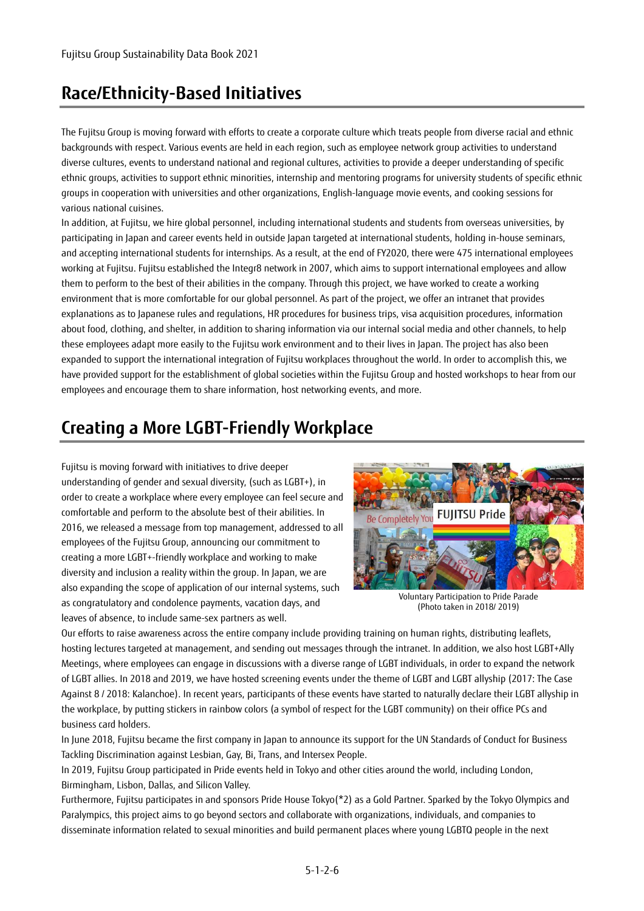## **Race/Ethnicity-Based Initiatives**

The Fujitsu Group is moving forward with efforts to create a corporate culture which treats people from diverse racial and ethnic backgrounds with respect. Various events are held in each region, such as employee network group activities to understand diverse cultures, events to understand national and regional cultures, activities to provide a deeper understanding of specific ethnic groups, activities to support ethnic minorities, internship and mentoring programs for university students of specific ethnic groups in cooperation with universities and other organizations, English-language movie events, and cooking sessions for various national cuisines.

In addition, at Fujitsu, we hire global personnel, including international students and students from overseas universities, by participating in Japan and career events held in outside Japan targeted at international students, holding in-house seminars, and accepting international students for internships. As a result, at the end of FY2020, there were 475 international employees working at Fujitsu. Fujitsu established the Integr8 network in 2007, which aims to support international employees and allow them to perform to the best of their abilities in the company. Through this project, we have worked to create a working environment that is more comfortable for our global personnel. As part of the project, we offer an intranet that provides explanations as to Japanese rules and regulations, HR procedures for business trips, visa acquisition procedures, information about food, clothing, and shelter, in addition to sharing information via our internal social media and other channels, to help these employees adapt more easily to the Fujitsu work environment and to their lives in Japan. The project has also been expanded to support the international integration of Fujitsu workplaces throughout the world. In order to accomplish this, we have provided support for the establishment of global societies within the Fujitsu Group and hosted workshops to hear from our employees and encourage them to share information, host networking events, and more.

## **Creating a More LGBT-Friendly Workplace**

Fujitsu is moving forward with initiatives to drive deeper understanding of gender and sexual diversity, (such as LGBT+), in order to create a workplace where every employee can feel secure and comfortable and perform to the absolute best of their abilities. In 2016, we released a message from top management, addressed to all employees of the Fujitsu Group, announcing our commitment to creating a more LGBT+-friendly workplace and working to make diversity and inclusion a reality within the group. In Japan, we are also expanding the scope of application of our internal systems, such as congratulatory and condolence payments, vacation days, and leaves of absence, to include same-sex partners as well.



Voluntary Participation to Pride Parade (Photo taken in 2018/ 2019)

Our efforts to raise awareness across the entire company include providing training on human rights, distributing leaflets, hosting lectures targeted at management, and sending out messages through the intranet. In addition, we also host LGBT+Ally Meetings, where employees can engage in discussions with a diverse range of LGBT individuals, in order to expand the network of LGBT allies. In 2018 and 2019, we have hosted screening events under the theme of LGBT and LGBT allyship (2017: The Case Against 8 / 2018: Kalanchoe). In recent years, participants of these events have started to naturally declare their LGBT allyship in the workplace, by putting stickers in rainbow colors (a symbol of respect for the LGBT community) on their office PCs and business card holders.

In June 2018, Fujitsu became the first company in Japan to announce its support for the UN Standards of Conduct for Business Tackling Discrimination against Lesbian, Gay, Bi, Trans, and Intersex People.

In 2019, Fujitsu Group participated in Pride events held in Tokyo and other cities around the world, including London, Birmingham, Lisbon, Dallas, and Silicon Valley.

Furthermore, Fujitsu participates in and sponsors Pride House Tokyo(\*2) as a Gold Partner. Sparked by the Tokyo Olympics and Paralympics, this project aims to go beyond sectors and collaborate with organizations, individuals, and companies to disseminate information related to sexual minorities and build permanent places where young LGBTQ people in the next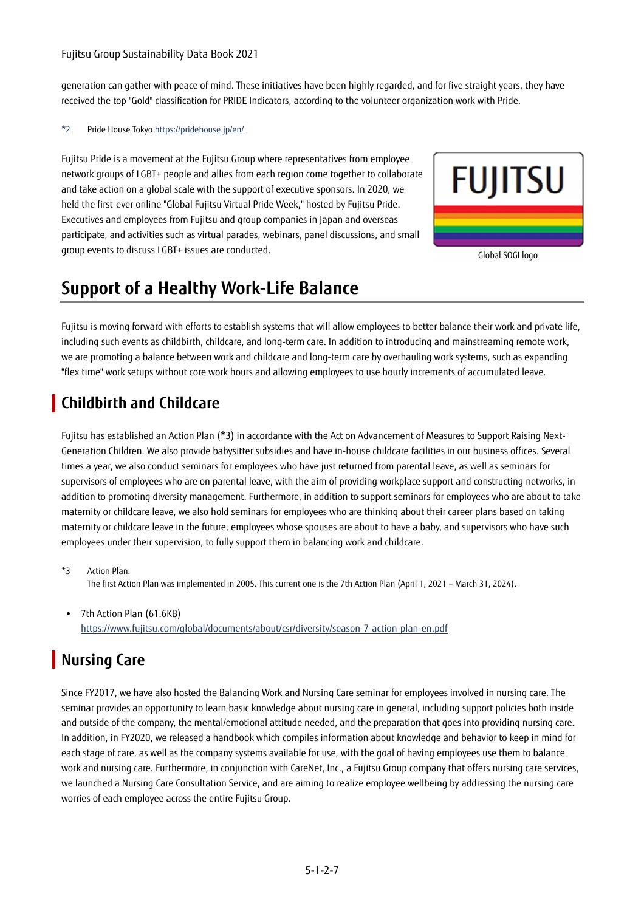#### Fujitsu Group Sustainability Data Book 2021

generation can gather with peace of mind. These initiatives have been highly regarded, and for five straight years, they have received the top "Gold" classification for PRIDE Indicators, according to the volunteer organization work with Pride.

#### \*2 Pride House Tokyo https://pridehouse.jp/en/

Fujitsu Pride is a movement at the Fujitsu Group where representatives from employee network groups of LGBT+ people and allies from each region come together to collaborate and take action on a global scale with the support of executive sponsors. In 2020, we held the first-ever online "Global Fujitsu Virtual Pride Week," hosted by Fujitsu Pride. Executives and employees from Fujitsu and group companies in Japan and overseas participate, and activities such as virtual parades, webinars, panel discussions, and small group events to discuss LGBT+ issues are conducted.



Global SOGI logo

## **Support of a Healthy Work-Life Balance**

Fujitsu is moving forward with efforts to establish systems that will allow employees to better balance their work and private life, including such events as childbirth, childcare, and long-term care. In addition to introducing and mainstreaming remote work, we are promoting a balance between work and childcare and long-term care by overhauling work systems, such as expanding "flex time" work setups without core work hours and allowing employees to use hourly increments of accumulated leave.

## **Childbirth and Childcare**

Fujitsu has established an Action Plan (\*3) in accordance with the Act on Advancement of Measures to Support Raising Next-Generation Children. We also provide babysitter subsidies and have in-house childcare facilities in our business offices. Several times a year, we also conduct seminars for employees who have just returned from parental leave, as well as seminars for supervisors of employees who are on parental leave, with the aim of providing workplace support and constructing networks, in addition to promoting diversity management. Furthermore, in addition to support seminars for employees who are about to take maternity or childcare leave, we also hold seminars for employees who are thinking about their career plans based on taking maternity or childcare leave in the future, employees whose spouses are about to have a baby, and supervisors who have such employees under their supervision, to fully support them in balancing work and childcare.

\*3 Action Plan: The first Action Plan was implemented in 2005. This current one is the 7th Action Plan (April 1, 2021 – March 31, 2024).

 7th Action Plan (61.6KB) https://www.fujitsu.com/global/documents/about/csr/diversity/season-7-action-plan-en.pdf

## **Nursing Care**

Since FY2017, we have also hosted the Balancing Work and Nursing Care seminar for employees involved in nursing care. The seminar provides an opportunity to learn basic knowledge about nursing care in general, including support policies both inside and outside of the company, the mental/emotional attitude needed, and the preparation that goes into providing nursing care. In addition, in FY2020, we released a handbook which compiles information about knowledge and behavior to keep in mind for each stage of care, as well as the company systems available for use, with the goal of having employees use them to balance work and nursing care. Furthermore, in conjunction with CareNet, Inc., a Fujitsu Group company that offers nursing care services, we launched a Nursing Care Consultation Service, and are aiming to realize employee wellbeing by addressing the nursing care worries of each employee across the entire Fujitsu Group.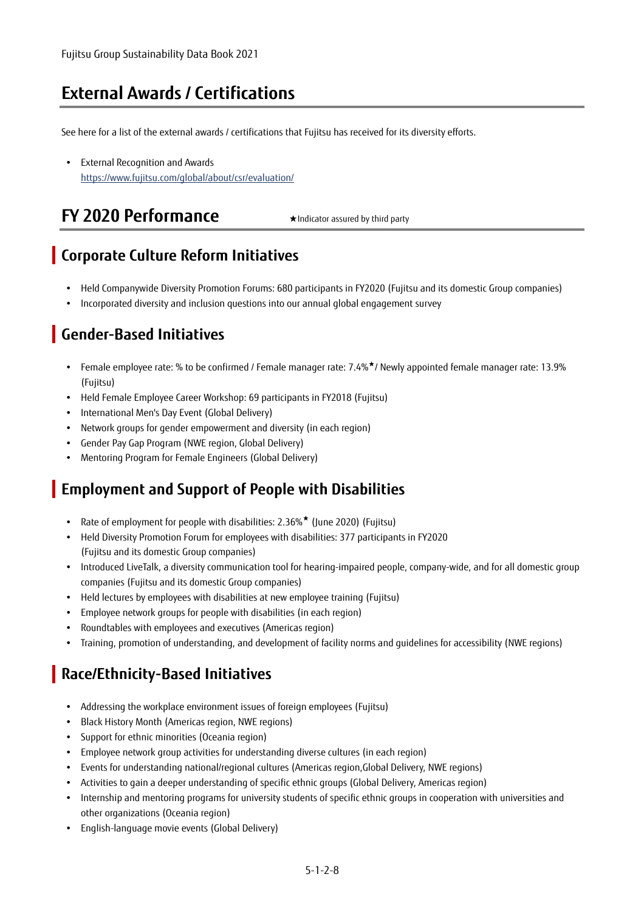## **External Awards / Certifications**

See here for a list of the external awards / certifications that Fujitsu has received for its diversity efforts.

 External Recognition and Awards https://www.fujitsu.com/global/about/csr/evaluation/

## **FY 2020 Performance** ★Indicator assured by third party

#### **Corporate Culture Reform Initiatives**

- Held Companywide Diversity Promotion Forums: 680 participants in FY2020 (Fujitsu and its domestic Group companies)
- Incorporated diversity and inclusion questions into our annual global engagement survey

### **Gender-Based Initiatives**

- Female employee rate: % to be confirmed / Female manager rate: 7.4%★/ Newly appointed female manager rate: 13.9% (Fujitsu)
- Held Female Employee Career Workshop: 69 participants in FY2018 (Fujitsu)
- International Men's Day Event (Global Delivery)
- Network groups for gender empowerment and diversity (in each region)
- Gender Pay Gap Program (NWE region, Global Delivery)
- Mentoring Program for Female Engineers (Global Delivery)

#### **Employment and Support of People with Disabilities**

- Rate of employment for people with disabilities: 2.36%★ (June 2020) (Fujitsu)
- Held Diversity Promotion Forum for employees with disabilities: 377 participants in FY2020 (Fujitsu and its domestic Group companies)
- Introduced LiveTalk, a diversity communication tool for hearing-impaired people, company-wide, and for all domestic group companies (Fujitsu and its domestic Group companies)
- Held lectures by employees with disabilities at new employee training (Fujitsu)
- Employee network groups for people with disabilities (in each region)
- Roundtables with employees and executives (Americas region)
- Training, promotion of understanding, and development of facility norms and guidelines for accessibility (NWE regions)

## **Race/Ethnicity-Based Initiatives**

- Addressing the workplace environment issues of foreign employees (Fujitsu)
- Black History Month (Americas region, NWE regions)
- Support for ethnic minorities (Oceania region)
- Employee network group activities for understanding diverse cultures (in each region)
- Events for understanding national/regional cultures (Americas region,Global Delivery, NWE regions)
- Activities to gain a deeper understanding of specific ethnic groups (Global Delivery, Americas region)
- Internship and mentoring programs for university students of specific ethnic groups in cooperation with universities and other organizations (Oceania region)
- English-language movie events (Global Delivery)